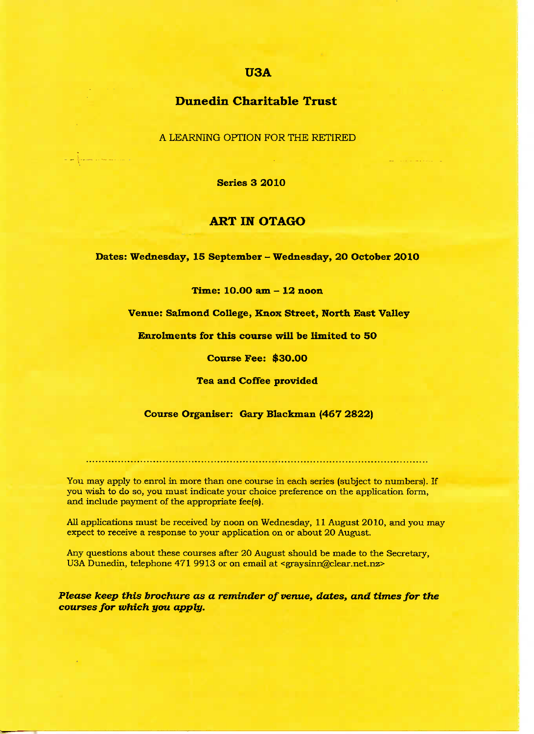## U3A

# Dunedin **Charitable Trust**

A LEARNING OPTION FOR THE RETIRED

**Series 3 2010**

## **ART IN OTAGO**

**Dates: Wednesday, 15 September - Wednesday, 20 October 2010**

**Time: 1O.OO am - 12 noon**

**Venue: Salmond College, Knox Street, North East Valley**

**Enrolments for this course will be limited to 5O**

**Course Fee: \$3O.OO**

**Tea and Coffee provided**

### **Course Organiser: Gary Blackman (467 2822)**

You may apply to enrol in more than one course in each series (subject to numbers). If you wish to do so, you must indicate your choice preference on the application form, and include payment of the appropriate fee(s).

All applications must be received by noon on Wednesday, 11 August 2010, and you may expect to receive a response to your application on or about 20 August.

Any questions about these courses after 20 August should be made to the Secretary, U3A Dunedin, telephone 471 9913 or on email at <graysinn@clear.net.nz>

*Please keep this brochure as a reminder of venue, dates, and times for the courses for which you apply.*